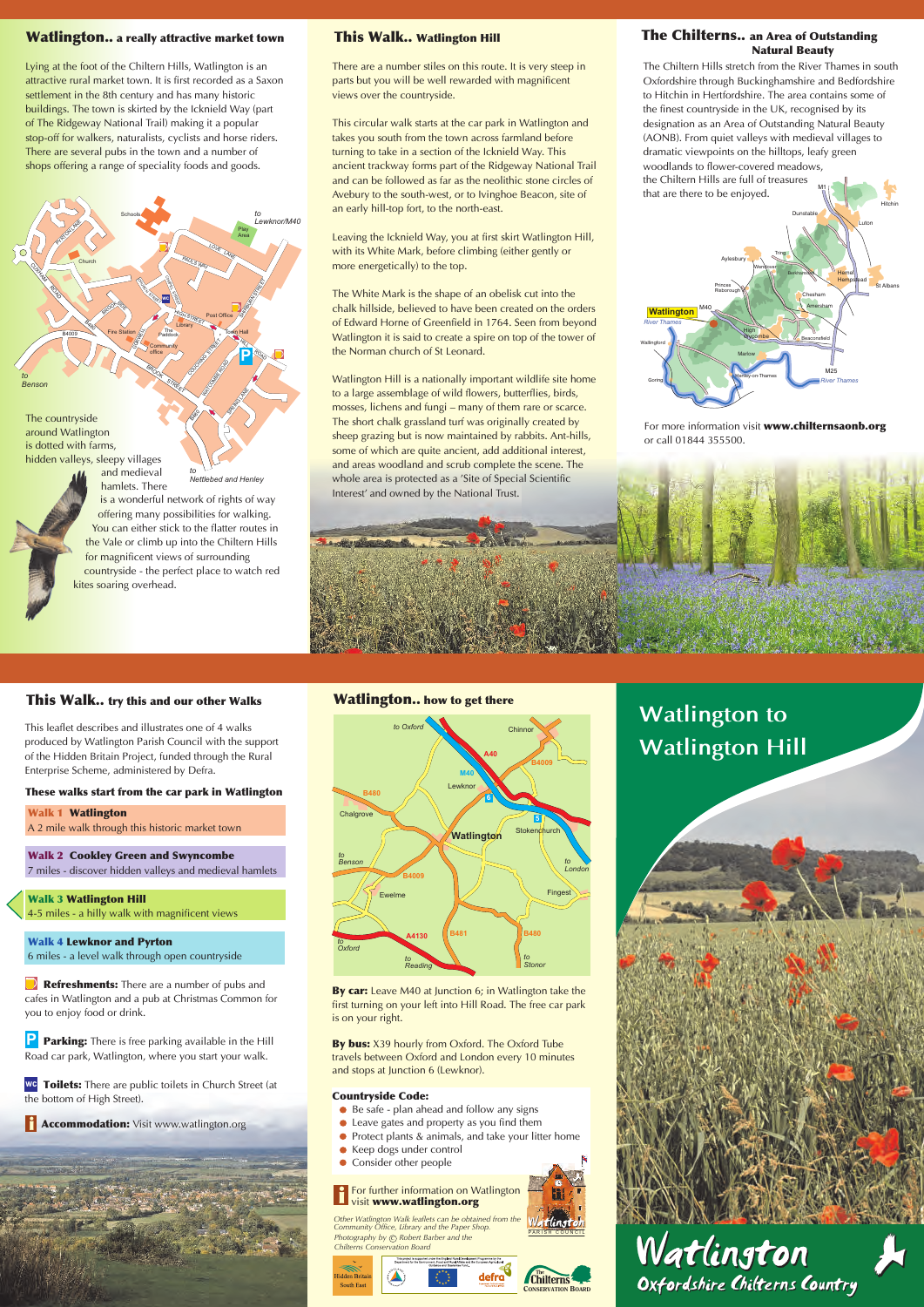*Lying at the foot of the Chiltern Hills, Watlington is an attractive rural market town. It is first recorded as a Saxon settlement in the 8th century and has many historic buildings. The town is skirted by the Icknield Way (part of The Ridgeway National Trail) making it a popular stop-off for walkers, naturalists, cyclists and horse riders. There are several pubs in the town and a number of shops offering a range of speciality foods and goods.* 

*around Watlington is dotted with farms, hidden valleys, sleepy villages* 



*is a wonderful network of rights of way offering many possibilities for walking. You can either stick to the flatter routes in the Vale or climb up into the Chiltern Hills for magnificent views of surrounding countryside - the perfect place to watch red kites soaring overhead.*

*and medieval hamlets. There to Nettlebed and Henley*

**Walk 2 Cookley Green and Swyncombe**  *7 miles - discover hidden valleys and medieval hamlets* 

## **Watlington.. a really attractive market town**

**Walk 4 Lewknor and Pyrton**  *6 miles - a level walk through open countryside*

*Refreshments:* There are a number of pubs and

**P Parking:** There is free parking available in the Hill *Road car park, Watlington, where you start your walk.* 

### **This Walk.. Watlington Hill The Chilterns.. an Area of Outstanding Natural Beauty**



*For more information visit* **www.chilternsaonb.org** *or call 01844 355500.* 

## **This Walk.. try this and our other Walks**

*This leaflet describes and illustrates one of 4 walks produced by Watlington Parish Council with the support of the Hidden Britain Project, funded through the Rural Enterprise Scheme, administered by Defra.*

> *Photography by*  $\bigcirc$  *Robert Barber and the Chilterns Conservation Board Other Watlington Walk leaflets can be obtained from the Community Office, Library and the Paper Shop.*

 **Watlington Walk 1**  *A 2 mile walk through this historic market town* 



M1 | -2 *the Chiltern Hills are full of treasures The Chiltern Hills stretch from the River Thames in south Oxfordshire through Buckinghamshire and Bedfordshire to Hitchin in Hertfordshire. The area contains some of the finest countryside in the UK, recognised by its designation as an Area of Outstanding Natural Beauty (AONB). From quiet valleys with medieval villages to dramatic viewpoints on the hilltops, leafy green woodlands to flower-covered meadows, that are there to be enjoyed.*

 **Watlington Hill Walk 3**  *4-5 miles - a hilly walk with magnificent views* 

*cafes in Watlington and a pub at Christmas Common for you to enjoy food or drink.*

 **Toilets:** *There are public toilets in Church Street (at*  **wc** *the bottom of High Street).*

  **Accommodation: i** *Visit www.watlington.org*

### **These walks start from the car park in Watlington**





**By car:** *Leave M40 at Junction 6; in Watlington take the first turning on your left into Hill Road. The free car park is on your right.*

**By bus:** *X39 hourly from Oxford. The Oxford Tube travels between Oxford and London every 10 minutes and stops at Junction 6 (Lewknor).*

### **Countryside Code:**

- *Be safe plan ahead and follow any signs*
- *Leave gates and property as you find them*
- *Protect plants & animals, and take your litter home*

PARISH COUNCIL

- *Keep dogs under control*
- $\bullet$ *Consider other people*









#### **i** *For further information on Watlington visit* **www.watlington.org**

# **Watlington to Watlington Hill**

*There are a number stiles on this route. It is very steep in parts but you will be well rewarded with magnificent views over the countryside.* 

*This circular walk starts at the car park in Watlington and takes you south from the town across farmland before turning to take in a section of the Icknield Way. This ancient trackway forms part of the Ridgeway National Trail and can be followed as far as the neolithic stone circles of Avebury to the south-west, or to Ivinghoe Beacon, site of an early hill-top fort, to the north-east.*

*Leaving the Icknield Way, you at first skirt Watlington Hill, with its White Mark, before climbing (either gently or more energetically) to the top.* 

*The White Mark is the shape of an obelisk cut into the chalk hillside, believed to have been created on the orders of Edward Horne of Greenfield in 1764. Seen from beyond Watlington it is said to create a spire on top of the tower of the Norman church of St Leonard.*

*Watlington Hill is a nationally important wildlife site home to a large assemblage of wild flowers, butterflies, birds, mosses, lichens and fungi – many of them rare or scarce. The short chalk grassland turf was originally created by sheep grazing but is now maintained by rabbits. Ant-hills, some of which are quite ancient, add additional interest, and areas woodland and scrub complete the scene. The whole area is protected as a 'Site of Special Scientific Interest' and owned by the National Trust.*